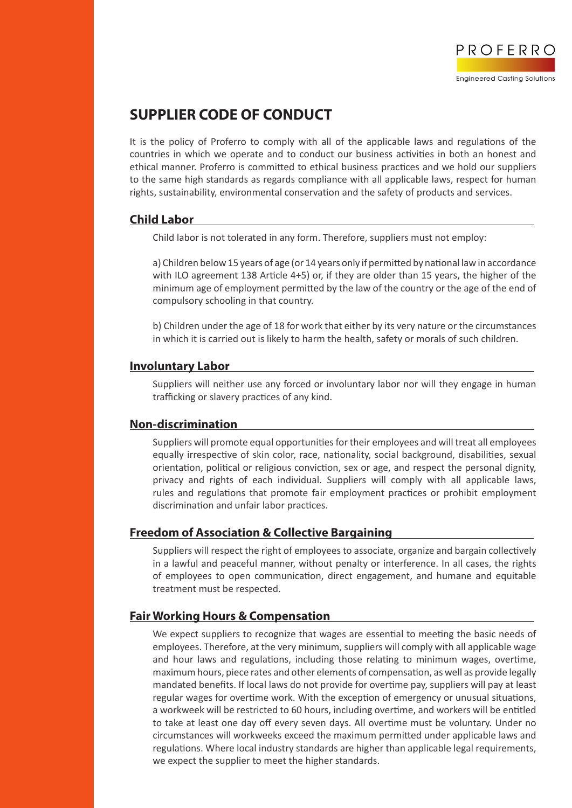

# **SUPPLIER CODE OF CONDUCT**

It is the policy of Proferro to comply with all of the applicable laws and regulations of the countries in which we operate and to conduct our business activities in both an honest and ethical manner. Proferro is committed to ethical business practices and we hold our suppliers to the same high standards as regards compliance with all applicable laws, respect for human rights, sustainability, environmental conservation and the safety of products and services.

## **Child Labor**

Child labor is not tolerated in any form. Therefore, suppliers must not employ:

a) Children below 15 years of age (or 14 years only if permitted by national law in accordance with ILO agreement 138 Article 4+5) or, if they are older than 15 years, the higher of the minimum age of employment permitted by the law of the country or the age of the end of compulsory schooling in that country.

b) Children under the age of 18 for work that either by its very nature or the circumstances in which it is carried out is likely to harm the health, safety or morals of such children.

#### **Involuntary Labor**

Suppliers will neither use any forced or involuntary labor nor will they engage in human trafficking or slavery practices of any kind.

## **Non-discrimination**

Suppliers will promote equal opportunities for their employees and will treat all employees equally irrespective of skin color, race, nationality, social background, disabilities, sexual orientation, political or religious conviction, sex or age, and respect the personal dignity, privacy and rights of each individual. Suppliers will comply with all applicable laws, rules and regulations that promote fair employment practices or prohibit employment discrimination and unfair labor practices.

## **Freedom of Association & Collective Bargaining**

Suppliers will respect the right of employees to associate, organize and bargain collectively in a lawful and peaceful manner, without penalty or interference. In all cases, the rights of employees to open communication, direct engagement, and humane and equitable treatment must be respected.

## **Fair Working Hours & Compensation**

We expect suppliers to recognize that wages are essential to meeting the basic needs of employees. Therefore, at the very minimum, suppliers will comply with all applicable wage and hour laws and regulations, including those relating to minimum wages, overtime, maximum hours, piece rates and other elements of compensation, as well as provide legally mandated benefits. If local laws do not provide for overtime pay, suppliers will pay at least regular wages for overtime work. With the exception of emergency or unusual situations, a workweek will be restricted to 60 hours, including overtime, and workers will be entitled to take at least one day off every seven days. All overtime must be voluntary. Under no circumstances will workweeks exceed the maximum permitted under applicable laws and regulations. Where local industry standards are higher than applicable legal requirements, we expect the supplier to meet the higher standards.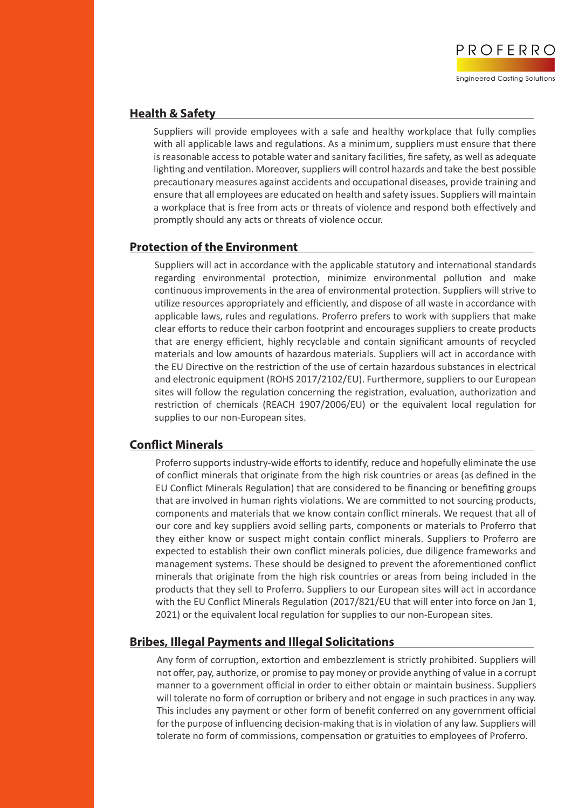

## **Health & Safety**

Suppliers will provide employees with a safe and healthy workplace that fully complies with all applicable laws and regulations. As a minimum, suppliers must ensure that there is reasonable access to potable water and sanitary facilities, fire safety, as well as adequate lighting and ventilation. Moreover, suppliers will control hazards and take the best possible precautionary measures against accidents and occupational diseases, provide training and ensure that all employees are educated on health and safety issues. Suppliers will maintain a workplace that is free from acts or threats of violence and respond both effectively and promptly should any acts or threats of violence occur.

## **Protection of the Environment**

Suppliers will act in accordance with the applicable statutory and international standards regarding environmental protection, minimize environmental pollution and make continuous improvements in the area of environmental protection. Suppliers will strive to utilize resources appropriately and efficiently, and dispose of all waste in accordance with applicable laws, rules and regulations. Proferro prefers to work with suppliers that make clear efforts to reduce their carbon footprint and encourages suppliers to create products that are energy efficient, highly recyclable and contain significant amounts of recycled materials and low amounts of hazardous materials. Suppliers will act in accordance with the EU Directive on the restriction of the use of certain hazardous substances in electrical and electronic equipment (ROHS 2017/2102/EU). Furthermore, suppliers to our European sites will follow the regulation concerning the registration, evaluation, authorization and restriction of chemicals (REACH 1907/2006/EU) or the equivalent local regulation for supplies to our non-European sites.

# **Conflict Minerals**

Proferro supports industry-wide efforts to identify, reduce and hopefully eliminate the use of conflict minerals that originate from the high risk countries or areas (as defined in the EU Conflict Minerals Regulation) that are considered to be financing or benefiting groups that are involved in human rights violations. We are committed to not sourcing products, components and materials that we know contain conflict minerals. We request that all of our core and key suppliers avoid selling parts, components or materials to Proferro that they either know or suspect might contain conflict minerals. Suppliers to Proferro are expected to establish their own conflict minerals policies, due diligence frameworks and management systems. These should be designed to prevent the aforementioned conflict minerals that originate from the high risk countries or areas from being included in the products that they sell to Proferro. Suppliers to our European sites will act in accordance with the EU Conflict Minerals Regulation (2017/821/EU that will enter into force on Jan 1, 2021) or the equivalent local regulation for supplies to our non-European sites.

# **Bribes, Illegal Payments and Illegal Solicitations**

Any form of corruption, extortion and embezzlement is strictly prohibited. Suppliers will not offer, pay, authorize, or promise to pay money or provide anything of value in a corrupt manner to a government official in order to either obtain or maintain business. Suppliers will tolerate no form of corruption or bribery and not engage in such practices in any way. This includes any payment or other form of benefit conferred on any government official for the purpose of influencing decision-making that is in violation of any law. Suppliers will tolerate no form of commissions, compensation or gratuities to employees of Proferro.